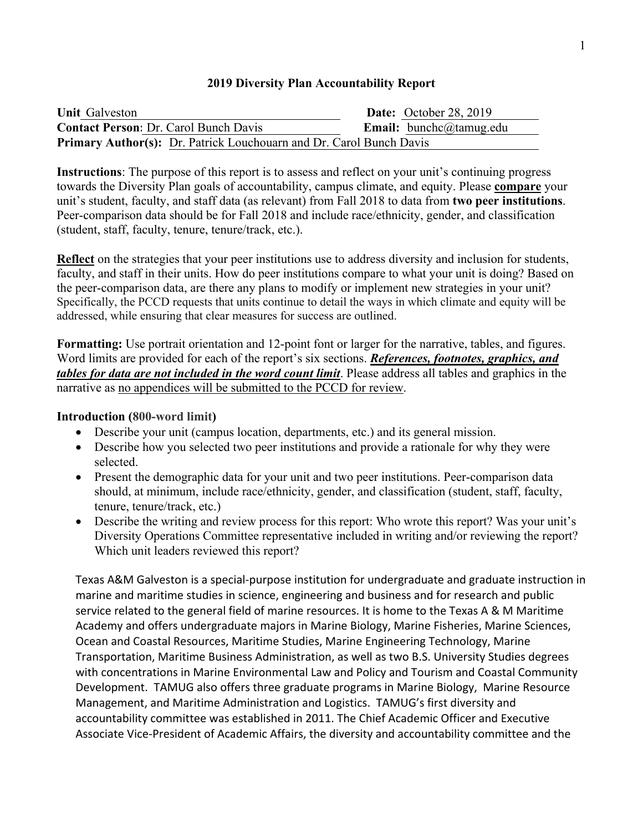## **2019 Diversity Plan Accountability Report**

| <b>Unit Galveston</b>                                               | <b>Date:</b> October 28, 2019  |
|---------------------------------------------------------------------|--------------------------------|
| <b>Contact Person: Dr. Carol Bunch Davis</b>                        | <b>Email:</b> bunchc@tamug.edu |
| Primary Author(s): Dr. Patrick Louchouarn and Dr. Carol Bunch Davis |                                |

**Instructions**: The purpose of this report is to assess and reflect on your unit's continuing progress towards the Diversity Plan goals of accountability, campus climate, and equity. Please **compare** your unit's student, faculty, and staff data (as relevant) from Fall 2018 to data from **two peer institutions**. Peer-comparison data should be for Fall 2018 and include race/ethnicity, gender, and classification (student, staff, faculty, tenure, tenure/track, etc.).

**Reflect** on the strategies that your peer institutions use to address diversity and inclusion for students, faculty, and staff in their units. How do peer institutions compare to what your unit is doing? Based on the peer-comparison data, are there any plans to modify or implement new strategies in your unit? Specifically, the PCCD requests that units continue to detail the ways in which climate and equity will be addressed, while ensuring that clear measures for success are outlined.

**Formatting:** Use portrait orientation and 12-point font or larger for the narrative, tables, and figures. Word limits are provided for each of the report's six sections. *References, footnotes, graphics, and tables for data are not included in the word count limit*. Please address all tables and graphics in the narrative as no appendices will be submitted to the PCCD for review.

## **Introduction (800-word limit)**

- Describe your unit (campus location, departments, etc.) and its general mission.
- Describe how you selected two peer institutions and provide a rationale for why they were selected.
- Present the demographic data for your unit and two peer institutions. Peer-comparison data should, at minimum, include race/ethnicity, gender, and classification (student, staff, faculty, tenure, tenure/track, etc.)
- Describe the writing and review process for this report: Who wrote this report? Was your unit's Diversity Operations Committee representative included in writing and/or reviewing the report? Which unit leaders reviewed this report?

Texas A&M Galveston is a special-purpose institution for undergraduate and graduate instruction in marine and maritime studies in science, engineering and business and for research and public service related to the general field of marine resources. It is home to the Texas A & M Maritime Academy and offers undergraduate majors in Marine Biology, Marine Fisheries, Marine Sciences, Ocean and Coastal Resources, Maritime Studies, Marine Engineering Technology, Marine Transportation, Maritime Business Administration, as well as two B.S. University Studies degrees with concentrations in Marine Environmental Law and Policy and Tourism and Coastal Community Development. TAMUG also offers three graduate programs in Marine Biology, Marine Resource Management, and Maritime Administration and Logistics. TAMUG's first diversity and accountability committee was established in 2011. The Chief Academic Officer and Executive Associate Vice-President of Academic Affairs, the diversity and accountability committee and the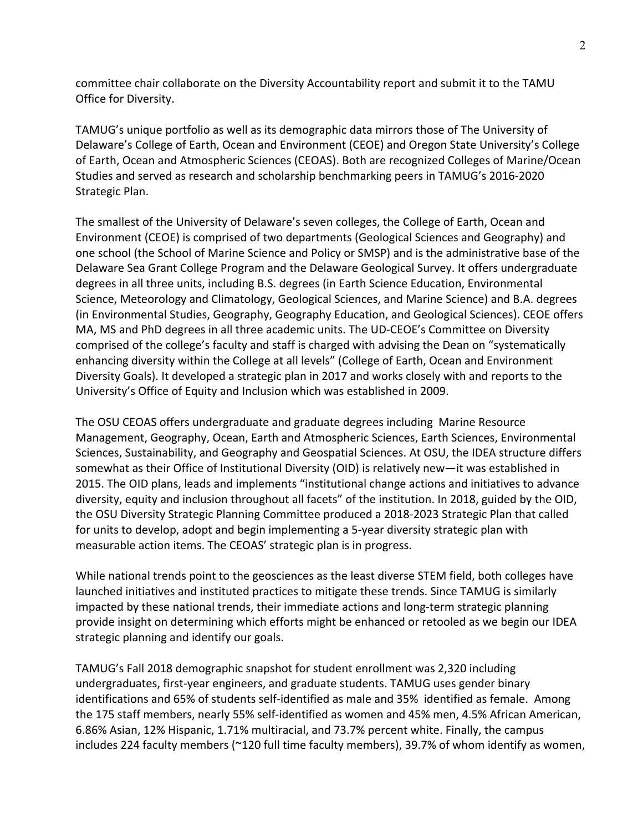committee chair collaborate on the Diversity Accountability report and submit it to the TAMU Office for Diversity.

TAMUG's unique portfolio as well as its demographic data mirrors those of The University of Delaware's College of Earth, Ocean and Environment (CEOE) and Oregon State University's College of Earth, Ocean and Atmospheric Sciences (CEOAS). Both are recognized Colleges of Marine/Ocean Studies and served as research and scholarship benchmarking peers in TAMUG's 2016-2020 Strategic Plan.

The smallest of the University of Delaware's seven colleges, the College of Earth, Ocean and Environment (CEOE) is comprised of two departments (Geological Sciences and Geography) and one school (the School of Marine Science and Policy or SMSP) and is the administrative base of the Delaware Sea Grant College Program and the Delaware Geological Survey. It offers undergraduate degrees in all three units, including B.S. degrees (in Earth Science Education, Environmental Science, Meteorology and Climatology, Geological Sciences, and Marine Science) and B.A. degrees (in Environmental Studies, Geography, Geography Education, and Geological Sciences). CEOE offers MA, MS and PhD degrees in all three academic units. The UD-CEOE's Committee on Diversity comprised of the college's faculty and staff is charged with advising the Dean on "systematically enhancing diversity within the College at all levels" (College of Earth, Ocean and Environment Diversity Goals). It developed a strategic plan in 2017 and works closely with and reports to the University's Office of Equity and Inclusion which was established in 2009.

The OSU CEOAS offers undergraduate and graduate degrees including Marine Resource Management, Geography, Ocean, Earth and Atmospheric Sciences, Earth Sciences, Environmental Sciences, Sustainability, and Geography and Geospatial Sciences. At OSU, the IDEA structure differs somewhat as their Office of Institutional Diversity (OID) is relatively new—it was established in 2015. The OID plans, leads and implements "institutional change actions and initiatives to advance diversity, equity and inclusion throughout all facets" of the institution. In 2018, guided by the OID, the OSU Diversity Strategic Planning Committee produced a 2018-2023 Strategic Plan that called for units to develop, adopt and begin implementing a 5-year diversity strategic plan with measurable action items. The CEOAS' strategic plan is in progress.

While national trends point to the geosciences as the least diverse STEM field, both colleges have launched initiatives and instituted practices to mitigate these trends. Since TAMUG is similarly impacted by these national trends, their immediate actions and long-term strategic planning provide insight on determining which efforts might be enhanced or retooled as we begin our IDEA strategic planning and identify our goals.

TAMUG's Fall 2018 demographic snapshot for student enrollment was 2,320 including undergraduates, first-year engineers, and graduate students. TAMUG uses gender binary identifications and 65% of students self-identified as male and 35% identified as female. Among the 175 staff members, nearly 55% self-identified as women and 45% men, 4.5% African American, 6.86% Asian, 12% Hispanic, 1.71% multiracial, and 73.7% percent white. Finally, the campus includes 224 faculty members (~120 full time faculty members), 39.7% of whom identify as women,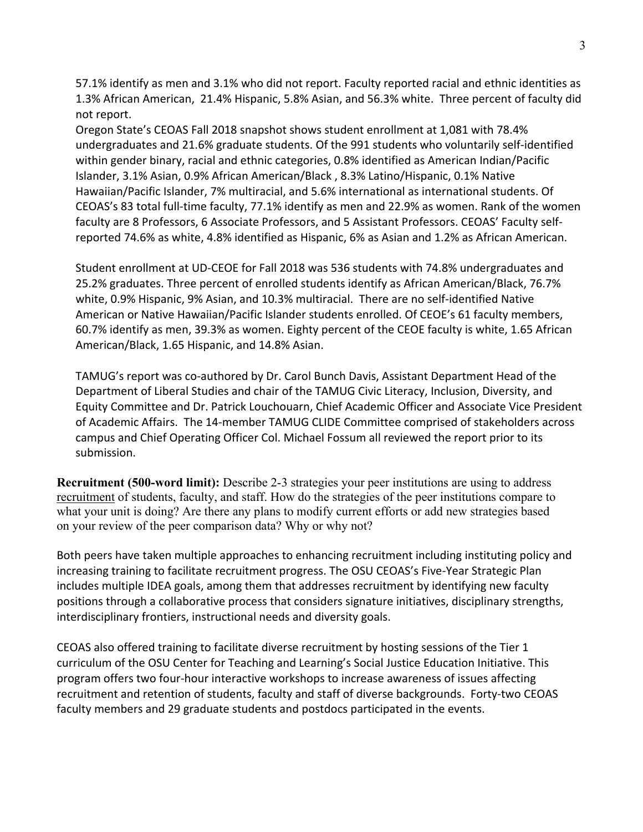57.1% identify as men and 3.1% who did not report. Faculty reported racial and ethnic identities as 1.3% African American, 21.4% Hispanic, 5.8% Asian, and 56.3% white. Three percent of faculty did not report.

Oregon State's CEOAS Fall 2018 snapshot shows student enrollment at 1,081 with 78.4% undergraduates and 21.6% graduate students. Of the 991 students who voluntarily self-identified within gender binary, racial and ethnic categories, 0.8% identified as American Indian/Pacific Islander, 3.1% Asian, 0.9% African American/Black , 8.3% Latino/Hispanic, 0.1% Native Hawaiian/Pacific Islander, 7% multiracial, and 5.6% international as international students. Of CEOAS's 83 total full-time faculty, 77.1% identify as men and 22.9% as women. Rank of the women faculty are 8 Professors, 6 Associate Professors, and 5 Assistant Professors. CEOAS' Faculty selfreported 74.6% as white, 4.8% identified as Hispanic, 6% as Asian and 1.2% as African American.

Student enrollment at UD-CEOE for Fall 2018 was 536 students with 74.8% undergraduates and 25.2% graduates. Three percent of enrolled students identify as African American/Black, 76.7% white, 0.9% Hispanic, 9% Asian, and 10.3% multiracial. There are no self-identified Native American or Native Hawaiian/Pacific Islander students enrolled. Of CEOE's 61 faculty members, 60.7% identify as men, 39.3% as women. Eighty percent of the CEOE faculty is white, 1.65 African American/Black, 1.65 Hispanic, and 14.8% Asian.

TAMUG's report was co-authored by Dr. Carol Bunch Davis, Assistant Department Head of the Department of Liberal Studies and chair of the TAMUG Civic Literacy, Inclusion, Diversity, and Equity Committee and Dr. Patrick Louchouarn, Chief Academic Officer and Associate Vice President of Academic Affairs. The 14-member TAMUG CLIDE Committee comprised of stakeholders across campus and Chief Operating Officer Col. Michael Fossum all reviewed the report prior to its submission.

**Recruitment (500-word limit):** Describe 2-3 strategies your peer institutions are using to address recruitment of students, faculty, and staff. How do the strategies of the peer institutions compare to what your unit is doing? Are there any plans to modify current efforts or add new strategies based on your review of the peer comparison data? Why or why not?

Both peers have taken multiple approaches to enhancing recruitment including instituting policy and increasing training to facilitate recruitment progress. The OSU CEOAS's Five-Year Strategic Plan includes multiple IDEA goals, among them that addresses recruitment by identifying new faculty positions through a collaborative process that considers signature initiatives, disciplinary strengths, interdisciplinary frontiers, instructional needs and diversity goals.

CEOAS also offered training to facilitate diverse recruitment by hosting sessions of the Tier 1 curriculum of the OSU Center for Teaching and Learning's Social Justice Education Initiative. This program offers two four-hour interactive workshops to increase awareness of issues affecting recruitment and retention of students, faculty and staff of diverse backgrounds. Forty-two CEOAS faculty members and 29 graduate students and postdocs participated in the events.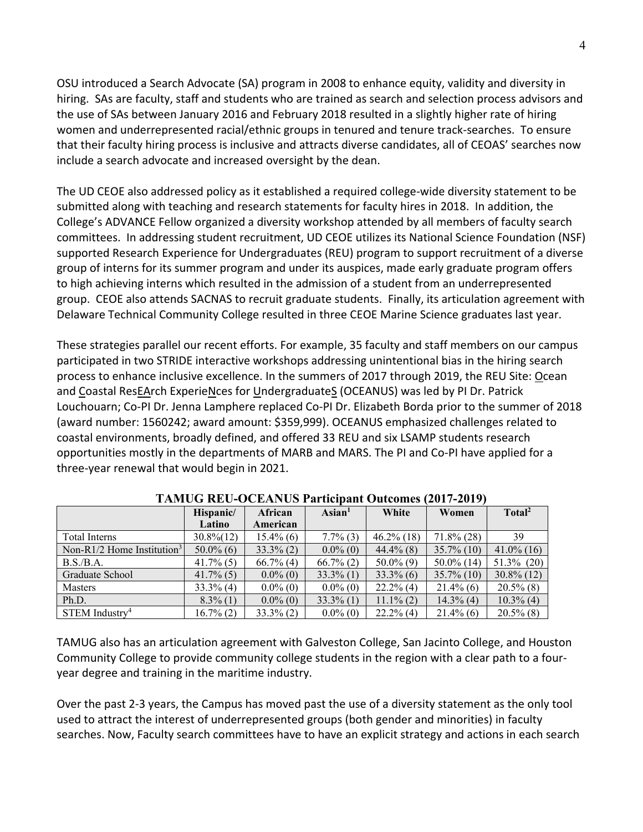OSU introduced a Search Advocate (SA) program in 2008 to enhance equity, validity and diversity in hiring. SAs are faculty, staff and students who are trained as search and selection process advisors and the use of SAs between January 2016 and February 2018 resulted in a slightly higher rate of hiring women and underrepresented racial/ethnic groups in tenured and tenure track-searches. To ensure that their faculty hiring process is inclusive and attracts diverse candidates, all of CEOAS' searches now include a search advocate and increased oversight by the dean.

The UD CEOE also addressed policy as it established a required college-wide diversity statement to be submitted along with teaching and research statements for faculty hires in 2018. In addition, the College's ADVANCE Fellow organized a diversity workshop attended by all members of faculty search committees. In addressing student recruitment, UD CEOE utilizes its National Science Foundation (NSF) supported Research Experience for Undergraduates (REU) program to support recruitment of a diverse group of interns for its summer program and under its auspices, made early graduate program offers to high achieving interns which resulted in the admission of a student from an underrepresented group. CEOE also attends SACNAS to recruit graduate students. Finally, its articulation agreement with Delaware Technical Community College resulted in three CEOE Marine Science graduates last year.

These strategies parallel our recent efforts. For example, 35 faculty and staff members on our campus participated in two STRIDE interactive workshops addressing unintentional bias in the hiring search process to enhance inclusive excellence. In the summers of 2017 through 2019, the REU Site: Ocean and Coastal ResEArch ExperieNces for UndergraduateS (OCEANUS) was led by PI Dr. Patrick Louchouarn; Co-PI Dr. Jenna Lamphere replaced Co-PI Dr. Elizabeth Borda prior to the summer of 2018 (award number: 1560242; award amount: \$359,999). OCEANUS emphasized challenges related to coastal environments, broadly defined, and offered 33 REU and six LSAMP students research opportunities mostly in the departments of MARB and MARS. The PI and Co-PI have applied for a three-year renewal that would begin in 2021.

|                                        | Hispanic/     | African      | $\text{Asian}^1$ | White         | Women         | Total <sup>2</sup> |
|----------------------------------------|---------------|--------------|------------------|---------------|---------------|--------------------|
|                                        | Latino        | American     |                  |               |               |                    |
| Total Interns                          | $30.8\%$ (12) | $15.4\%$ (6) | $7.7\%$ (3)      | $46.2\%$ (18) | $71.8\%$ (28) | 39                 |
| Non-R1/2 Home Institution <sup>3</sup> | $50.0\%$ (6)  | $33.3\%$ (2) | $0.0\%$ (0)      | $44.4\%$ (8)  | $35.7\%$ (10) | $41.0\%$ (16)      |
| B.S./B.A.                              | $41.7\%$ (5)  | $66.7\%$ (4) | $66.7\%$ (2)     | $50.0\%$ (9)  | $50.0\%$ (14) | $51.3\%$ (20)      |
| Graduate School                        | $41.7\%$ (5)  | $0.0\%$ (0)  | $33.3\%$ (1)     | $33.3\%$ (6)  | $35.7\%$ (10) | $30.8\%$ (12)      |
| <b>Masters</b>                         | $33.3\%$ (4)  | $0.0\%$ (0)  | $0.0\%$ (0)      | $22.2\%$ (4)  | $21.4\%$ (6)  | $20.5\%$ (8)       |
| Ph.D.                                  | $8.3\%$ (1)   | $0.0\%$ (0)  | $33.3\%$ (1)     | $11.1\%$ (2)  | $14.3\%$ (4)  | $10.3\%$ (4)       |
| $STEM$ Industry <sup>4</sup>           | $16.7\%$ (2)  | $33.3\%$ (2) | $0.0\%$ (0)      | $22.2\%$ (4)  | $21.4\%$ (6)  | $20.5\%$ (8)       |

## **TAMUG REU-OCEANUS Participant Outcomes (2017-2019)**

TAMUG also has an articulation agreement with Galveston College, San Jacinto College, and Houston Community College to provide community college students in the region with a clear path to a fouryear degree and training in the maritime industry.

Over the past 2-3 years, the Campus has moved past the use of a diversity statement as the only tool used to attract the interest of underrepresented groups (both gender and minorities) in faculty searches. Now, Faculty search committees have to have an explicit strategy and actions in each search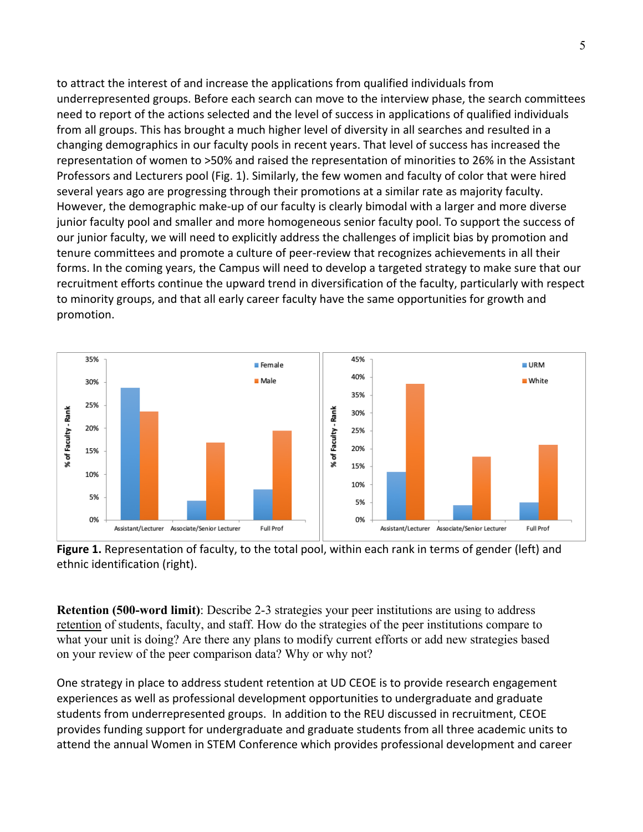to attract the interest of and increase the applications from qualified individuals from underrepresented groups. Before each search can move to the interview phase, the search committees need to report of the actions selected and the level of success in applications of qualified individuals from all groups. This has brought a much higher level of diversity in all searches and resulted in a changing demographics in our faculty pools in recent years. That level of success has increased the representation of women to >50% and raised the representation of minorities to 26% in the Assistant Professors and Lecturers pool (Fig. 1). Similarly, the few women and faculty of color that were hired several years ago are progressing through their promotions at a similar rate as majority faculty. However, the demographic make-up of our faculty is clearly bimodal with a larger and more diverse junior faculty pool and smaller and more homogeneous senior faculty pool. To support the success of our junior faculty, we will need to explicitly address the challenges of implicit bias by promotion and tenure committees and promote a culture of peer-review that recognizes achievements in all their forms. In the coming years, the Campus will need to develop a targeted strategy to make sure that our recruitment efforts continue the upward trend in diversification of the faculty, particularly with respect to minority groups, and that all early career faculty have the same opportunities for growth and promotion.



Figure 1. Representation of faculty, to the total pool, within each rank in terms of gender (left) and ethnic identification (right).

**Retention (500-word limit)**: Describe 2-3 strategies your peer institutions are using to address retention of students, faculty, and staff. How do the strategies of the peer institutions compare to what your unit is doing? Are there any plans to modify current efforts or add new strategies based on your review of the peer comparison data? Why or why not?

One strategy in place to address student retention at UD CEOE is to provide research engagement experiences as well as professional development opportunities to undergraduate and graduate students from underrepresented groups. In addition to the REU discussed in recruitment, CEOE provides funding support for undergraduate and graduate students from all three academic units to attend the annual Women in STEM Conference which provides professional development and career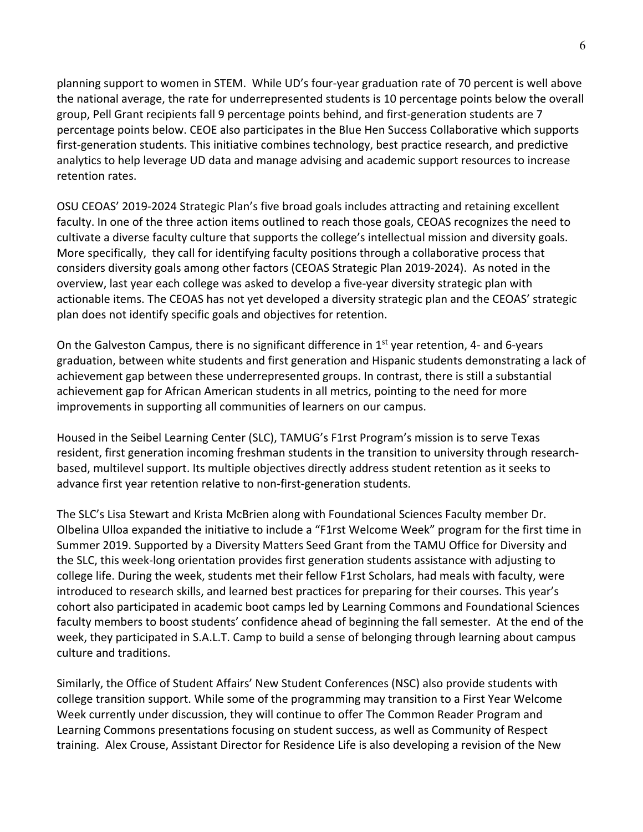planning support to women in STEM. While UD's four-year graduation rate of 70 percent is well above the national average, the rate for underrepresented students is 10 percentage points below the overall group, Pell Grant recipients fall 9 percentage points behind, and first-generation students are 7 percentage points below. CEOE also participates in the Blue Hen Success Collaborative which supports first-generation students. This initiative combines technology, best practice research, and predictive analytics to help leverage UD data and manage advising and academic support resources to increase retention rates.

OSU CEOAS' 2019-2024 Strategic Plan's five broad goals includes attracting and retaining excellent faculty. In one of the three action items outlined to reach those goals, CEOAS recognizes the need to cultivate a diverse faculty culture that supports the college's intellectual mission and diversity goals. More specifically, they call for identifying faculty positions through a collaborative process that considers diversity goals among other factors (CEOAS Strategic Plan 2019-2024). As noted in the overview, last year each college was asked to develop a five-year diversity strategic plan with actionable items. The CEOAS has not yet developed a diversity strategic plan and the CEOAS' strategic plan does not identify specific goals and objectives for retention.

On the Galveston Campus, there is no significant difference in 1<sup>st</sup> year retention, 4- and 6-years graduation, between white students and first generation and Hispanic students demonstrating a lack of achievement gap between these underrepresented groups. In contrast, there is still a substantial achievement gap for African American students in all metrics, pointing to the need for more improvements in supporting all communities of learners on our campus.

Housed in the Seibel Learning Center (SLC), TAMUG's F1rst Program's mission is to serve Texas resident, first generation incoming freshman students in the transition to university through researchbased, multilevel support. Its multiple objectives directly address student retention as it seeks to advance first year retention relative to non-first-generation students.

The SLC's Lisa Stewart and Krista McBrien along with Foundational Sciences Faculty member Dr. Olbelina Ulloa expanded the initiative to include a "F1rst Welcome Week" program for the first time in Summer 2019. Supported by a Diversity Matters Seed Grant from the TAMU Office for Diversity and the SLC, this week-long orientation provides first generation students assistance with adjusting to college life. During the week, students met their fellow F1rst Scholars, had meals with faculty, were introduced to research skills, and learned best practices for preparing for their courses. This year's cohort also participated in academic boot camps led by Learning Commons and Foundational Sciences faculty members to boost students' confidence ahead of beginning the fall semester. At the end of the week, they participated in S.A.L.T. Camp to build a sense of belonging through learning about campus culture and traditions.

Similarly, the Office of Student Affairs' New Student Conferences (NSC) also provide students with college transition support. While some of the programming may transition to a First Year Welcome Week currently under discussion, they will continue to offer The Common Reader Program and Learning Commons presentations focusing on student success, as well as Community of Respect training. Alex Crouse, Assistant Director for Residence Life is also developing a revision of the New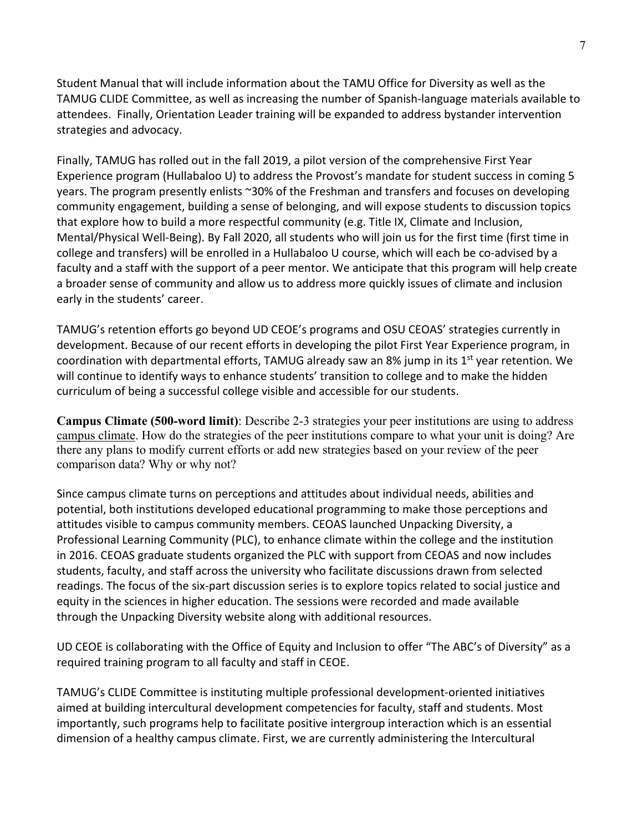Student Manual that will include information about the TAMU Office for Diversity as well as the TAMUG CLIDE Committee, as well as increasing the number of Spanish-language materials available to attendees. Finally, Orientation Leader training will be expanded to address bystander intervention strategies and advocacy.

Finally, TAMUG has rolled out in the fall 2019, a pilot version of the comprehensive First Year Experience program (Hullabaloo U) to address the Provost's mandate for student success in coming 5 years. The program presently enlists ~30% of the Freshman and transfers and focuses on developing community engagement, building a sense of belonging, and will expose students to discussion topics that explore how to build a more respectful community (e.g. Title IX, Climate and Inclusion, Mental/Physical Well-Being). By Fall 2020, all students who will join us for the first time (first time in college and transfers) will be enrolled in a Hullabaloo U course, which will each be co-advised by a faculty and a staff with the support of a peer mentor. We anticipate that this program will help create a broader sense of community and allow us to address more quickly issues of climate and inclusion early in the students' career.

TAMUG's retention efforts go beyond UD CEOE's programs and OSU CEOAS' strategies currently in development. Because of our recent efforts in developing the pilot First Year Experience program, in coordination with departmental efforts, TAMUG already saw an 8% jump in its  $1<sup>st</sup>$  year retention. We will continue to identify ways to enhance students' transition to college and to make the hidden curriculum of being a successful college visible and accessible for our students.

**Campus Climate (500-word limit)**: Describe 2-3 strategies your peer institutions are using to address campus climate. How do the strategies of the peer institutions compare to what your unit is doing? Are there any plans to modify current efforts or add new strategies based on your review of the peer comparison data? Why or why not?

Since campus climate turns on perceptions and attitudes about individual needs, abilities and potential, both institutions developed educational programming to make those perceptions and attitudes visible to campus community members. CEOAS launched Unpacking Diversity, a Professional Learning Community (PLC), to enhance climate within the college and the institution in 2016. CEOAS graduate students organized the PLC with support from CEOAS and now includes students, faculty, and staff across the university who facilitate discussions drawn from selected readings. The focus of the six-part discussion series is to explore topics related to social justice and equity in the sciences in higher education. The sessions were recorded and made available through the Unpacking Diversity website along with additional resources.

UD CEOE is collaborating with the Office of Equity and Inclusion to offer "The ABC's of Diversity" as a required training program to all faculty and staff in CEOE.

TAMUG's CLIDE Committee is instituting multiple professional development-oriented initiatives aimed at building intercultural development competencies for faculty, staff and students. Most importantly, such programs help to facilitate positive intergroup interaction which is an essential dimension of a healthy campus climate. First, we are currently administering the Intercultural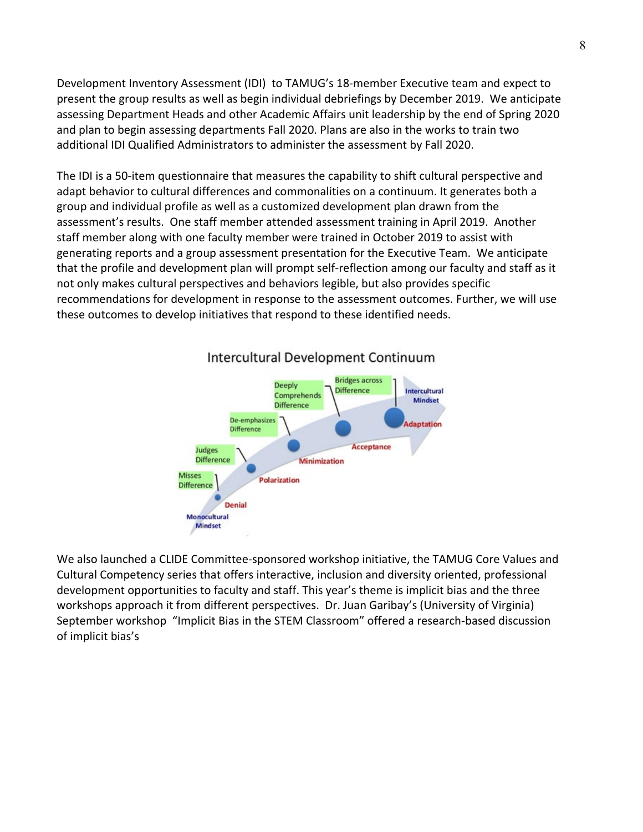Development Inventory Assessment (IDI) to TAMUG's 18-member Executive team and expect to present the group results as well as begin individual debriefings by December 2019. We anticipate assessing Department Heads and other Academic Affairs unit leadership by the end of Spring 2020 and plan to begin assessing departments Fall 2020. Plans are also in the works to train two additional IDI Qualified Administrators to administer the assessment by Fall 2020.

The IDI is a 50-item questionnaire that measures the capability to shift cultural perspective and adapt behavior to cultural differences and commonalities on a continuum. It generates both a group and individual profile as well as a customized development plan drawn from the assessment's results. One staff member attended assessment training in April 2019. Another staff member along with one faculty member were trained in October 2019 to assist with generating reports and a group assessment presentation for the Executive Team. We anticipate that the profile and development plan will prompt self-reflection among our faculty and staff as it not only makes cultural perspectives and behaviors legible, but also provides specific recommendations for development in response to the assessment outcomes. Further, we will use these outcomes to develop initiatives that respond to these identified needs.



## Intercultural Development Continuum

We also launched a CLIDE Committee-sponsored workshop initiative, the TAMUG Core Values and Cultural Competency series that offers interactive, inclusion and diversity oriented, professional development opportunities to faculty and staff. This year's theme is implicit bias and the three workshops approach it from different perspectives. Dr. Juan Garibay's (University of Virginia) September workshop "Implicit Bias in the STEM Classroom" offered a research-based discussion of implicit bias's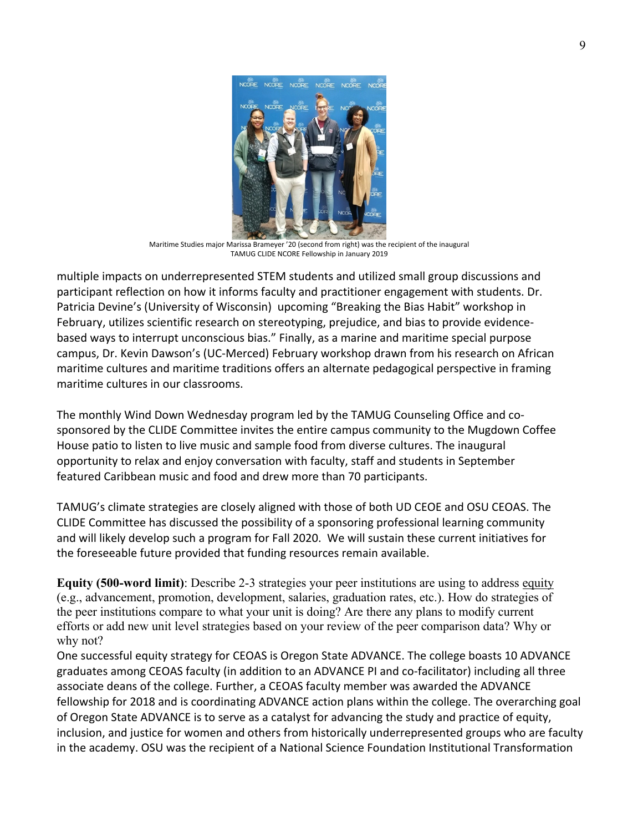

Maritime Studies major Marissa Brameyer '20 (second from right) was the recipient of the inaugural TAMUG CLIDE NCORE Fellowship in January 2019

multiple impacts on underrepresented STEM students and utilized small group discussions and participant reflection on how it informs faculty and practitioner engagement with students. Dr. Patricia Devine's (University of Wisconsin) upcoming "Breaking the Bias Habit" workshop in February, utilizes scientific research on stereotyping, prejudice, and bias to provide evidencebased ways to interrupt unconscious bias." Finally, as a marine and maritime special purpose campus, Dr. Kevin Dawson's (UC-Merced) February workshop drawn from his research on African maritime cultures and maritime traditions offers an alternate pedagogical perspective in framing maritime cultures in our classrooms.

The monthly Wind Down Wednesday program led by the TAMUG Counseling Office and cosponsored by the CLIDE Committee invites the entire campus community to the Mugdown Coffee House patio to listen to live music and sample food from diverse cultures. The inaugural opportunity to relax and enjoy conversation with faculty, staff and students in September featured Caribbean music and food and drew more than 70 participants.

TAMUG's climate strategies are closely aligned with those of both UD CEOE and OSU CEOAS. The CLIDE Committee has discussed the possibility of a sponsoring professional learning community and will likely develop such a program for Fall 2020. We will sustain these current initiatives for the foreseeable future provided that funding resources remain available.

**Equity (500-word limit)**: Describe 2-3 strategies your peer institutions are using to address equity (e.g., advancement, promotion, development, salaries, graduation rates, etc.). How do strategies of the peer institutions compare to what your unit is doing? Are there any plans to modify current efforts or add new unit level strategies based on your review of the peer comparison data? Why or why not?

One successful equity strategy for CEOAS is Oregon State ADVANCE. The college boasts 10 ADVANCE graduates among CEOAS faculty (in addition to an ADVANCE PI and co-facilitator) including all three associate deans of the college. Further, a CEOAS faculty member was awarded the ADVANCE fellowship for 2018 and is coordinating ADVANCE action plans within the college. The overarching goal of Oregon State ADVANCE is to serve as a catalyst for advancing the study and practice of equity, inclusion, and justice for women and others from historically underrepresented groups who are faculty in the academy. OSU was the recipient of a National Science Foundation Institutional Transformation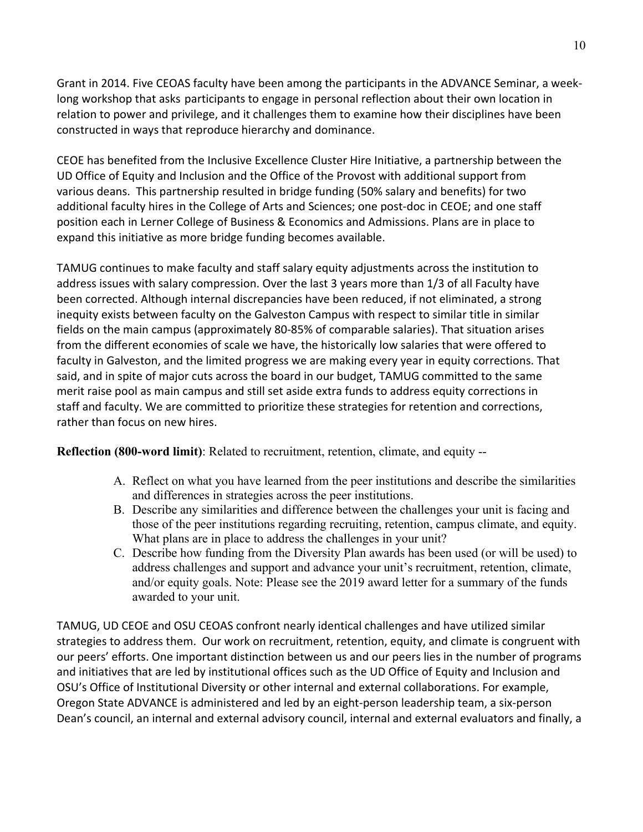Grant in 2014. Five CEOAS faculty have been among the participants in the ADVANCE Seminar, a weeklong workshop that asks participants to engage in personal reflection about their own location in relation to power and privilege, and it challenges them to examine how their disciplines have been constructed in ways that reproduce hierarchy and dominance.

CEOE has benefited from the Inclusive Excellence Cluster Hire Initiative, a partnership between the UD Office of Equity and Inclusion and the Office of the Provost with additional support from various deans. This partnership resulted in bridge funding (50% salary and benefits) for two additional faculty hires in the College of Arts and Sciences; one post-doc in CEOE; and one staff position each in Lerner College of Business & Economics and Admissions. Plans are in place to expand this initiative as more bridge funding becomes available.

TAMUG continues to make faculty and staff salary equity adjustments across the institution to address issues with salary compression. Over the last 3 years more than 1/3 of all Faculty have been corrected. Although internal discrepancies have been reduced, if not eliminated, a strong inequity exists between faculty on the Galveston Campus with respect to similar title in similar fields on the main campus (approximately 80-85% of comparable salaries). That situation arises from the different economies of scale we have, the historically low salaries that were offered to faculty in Galveston, and the limited progress we are making every year in equity corrections. That said, and in spite of major cuts across the board in our budget, TAMUG committed to the same merit raise pool as main campus and still set aside extra funds to address equity corrections in staff and faculty. We are committed to prioritize these strategies for retention and corrections, rather than focus on new hires.

**Reflection (800-word limit)**: Related to recruitment, retention, climate, and equity --

- A. Reflect on what you have learned from the peer institutions and describe the similarities and differences in strategies across the peer institutions.
- B. Describe any similarities and difference between the challenges your unit is facing and those of the peer institutions regarding recruiting, retention, campus climate, and equity. What plans are in place to address the challenges in your unit?
- C. Describe how funding from the Diversity Plan awards has been used (or will be used) to address challenges and support and advance your unit's recruitment, retention, climate, and/or equity goals. Note: Please see the 2019 award letter for a summary of the funds awarded to your unit.

TAMUG, UD CEOE and OSU CEOAS confront nearly identical challenges and have utilized similar strategies to address them. Our work on recruitment, retention, equity, and climate is congruent with our peers' efforts. One important distinction between us and our peers lies in the number of programs and initiatives that are led by institutional offices such as the UD Office of Equity and Inclusion and OSU's Office of Institutional Diversity or other internal and external collaborations. For example, Oregon State ADVANCE is administered and led by an eight-person leadership team, a six-person Dean's council, an internal and external advisory council, internal and external evaluators and finally, a